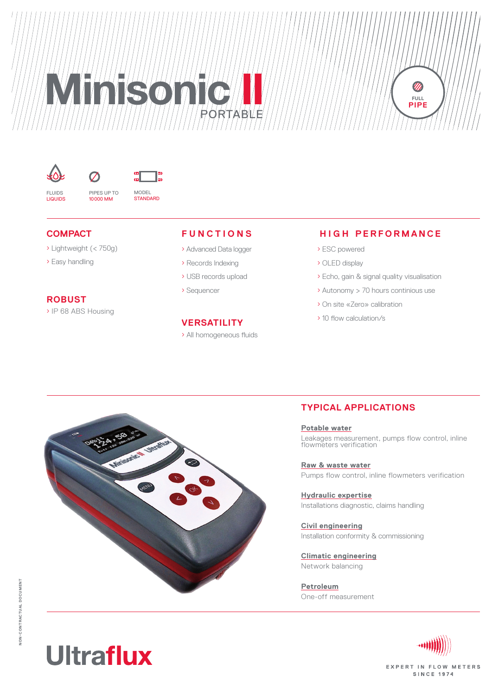# **MINISONIC II CONSERVERS** Portable

l"



fluids liquids



**compact**

› Lightweight (< 750g)

 $\sigma$ 

› Easy handling

#### **robust**

› IP 68 ABS Housing

#### **fU n c ti ons**

- › Advanced Data logger
- › Records Indexing
- › USB records upload
- › Sequencer

#### **Versatility**

› All homogeneous fluids

### **H i g h perf o r manc e**

**PIPE**

- › ESC powered
- › OLED display
- › Echo, gain & signal quality visualisation
- › Autonomy > 70 hours continious use
- › On site «Zero» calibration
- › 10 flow calculation/s

### **Typical applications**

**Potable water** Leakages measurement, pumps flow control, inline flowmeters verification

**Raw & waste water** Pumps flow control, inline flowmeters verification

**Hydraulic expertise** Installations diagnostic, claims handling

**Civil engineering** Installation conformity & commissioning

**Climatic engineering** Network balancing

**Petroleum** One-off measurement





**EXPERT IN FLOW METERS SINCE 1974** 

# **Ultraflux**